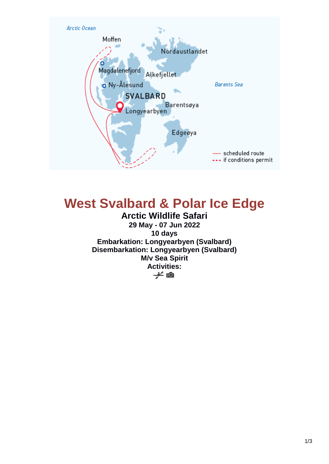

# **West Svalbard & Polar Ice Edge**

**Arctic Wildlife Safari 29 May - 07 Jun 2022 10 days Embarkation: Longyearbyen (Svalbard) Disembarkation: Longyearbyen (Svalbard) M/v Sea Spirit Activities:**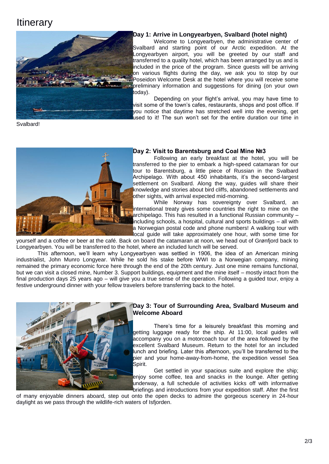## **Itinerary**



### **Day 1: Arrive in Longyearbyen, Svalbard (hotel night)**

Welcome to Longyearbyen, the administrative center of Svalbard and starting point of our Arctic expedition. At the Longyearbyen airport, you will be greeted by our staff and transferred to a quality hotel, which has been arranged by us and is included in the price of the program. Since guests will be arriving on various flights during the day, we ask you to stop by our Poseidon Welcome Desk at the hotel where you will receive some preliminary information and suggestions for dining (on your own today).

Depending on your flight's arrival, you may have time to visit some of the town's cafes, restaurants, shops and post office. If you notice that daytime has stretched well into the evening, get used to it! The sun won't set for the entire duration our time in

Svalbard!



### **Day 2: Visit to Barentsburg and Coal Mine №3**

Following an early breakfast at the hotel, you will be transferred to the pier to embark a high-speed catamaran for our tour to Barentsburg, a little piece of Russian in the Svalbard Archipelago. With about 450 inhabitants, it's the second-largest settlement on Svalbard. Along the way, guides will share their knowledge and stories about bird cliffs, abandoned settlements and other sights, with arrival expected mid-morning.

While Norway has sovereignty over Svalbard, an international treaty gives some countries the right to mine on the archipelago. This has resulted in a functional Russian community – including schools, a hospital, cultural and sports buildings – all with a Norwegian postal code and phone numbers! A walking tour with local guide will take approximately one hour, with some time for

yourself and a coffee or beer at the café. Back on board the catamaran at noon, we head out of Grønfjord back to Longyearbyen. You will be transferred to the hotel, where an included lunch will be served.

This afternoon, we'll learn why Longyearbyen was settled in 1906, the idea of an American mining industrialist, John Munro Longyear. While he sold his stake before WWI to a Norwegian company, mining remained the primary economic force here through the end of the 20th century. Just one mine remains functional, but we can visit a closed mine, Number 3. Support buildings, equipment and the mine itself – mostly intact from the final production days 25 years ago – will give you a true sense of the operation. Following a guided tour, enjoy a festive underground dinner with your fellow travelers before transferring back to the hotel.



### **Day 3: Tour of Surrounding Area, Svalbard Museum and Welcome Aboard**

There's time for a leisurely breakfast this morning and getting luggage ready for the ship. At 11:00, local guides will accompany you on a motorcoach tour of the area followed by the excellent Svalbard Museum. Return to the hotel for an included lunch and briefing. Later this afternoon, you'll be transferred to the pier and your home-away-from-home, the expedition vessel Sea Spirit.

Get settled in your spacious suite and explore the ship; enjoy some coffee, tea and snacks in the lounge. After getting underway, a full schedule of activities kicks off with informative briefings and introductions from your expedition staff. After the first

of many enjoyable dinners aboard, step out onto the open decks to admire the gorgeous scenery in 24-hour daylight as we pass through the wildlife-rich waters of Isfjorden.